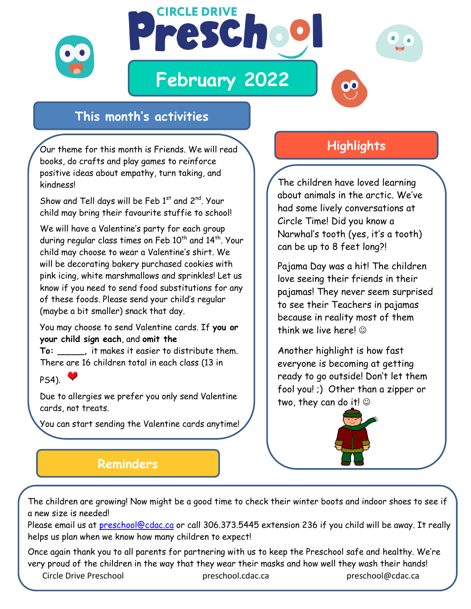

## **This month's activities**

Our theme for this month is Friends. We will read books, do crafts and play games to reinforce positive ideas about empathy, turn taking, and kindness!

Show and Tell days will be Feb  $1<sup>st</sup>$  and  $2<sup>nd</sup>$ . Your child may bring their favourite stuffie to school!

We will have a Valentine's party for each group during regular class times on Feb 10<sup>th</sup> and 14<sup>th</sup>. Your child may choose to wear a Valentine's shirt. We will be decorating bakery purchased cookies with pink icing, white marshmallows and sprinkles! Let us know if you need to send food substitutions for any of these foods. Please send your child's regular (maybe a bit smaller) snack that day.

You may choose to send Valentine cards. If **you or your child sign each**, and **omit the** 

**To: \_\_\_\_\_,** it makes it easier to distribute them. There are 16 children total in each class (13 in

 $PS4$ ).

Due to allergies we prefer you only send Valentine cards, not treats.

You can start sending the Valentine cards anytime!

## **Highlights**

The children have loved learning about animals in the arctic. We've had some lively conversations at Circle Time! Did you know a Narwhal's tooth (yes, it's a tooth) can be up to 8 feet long?!

Pajama Day was a hit! The children love seeing their friends in their pajamas! They never seem surprised to see their Teachers in pajamas because in reality most of them think we live here!

Another highlight is how fast everyone is becoming at getting ready to go outside! Don't let them fool you! ;) Other than a zipper or two, they can do it!

## **Reminders**

The children are growing! Now might be a good time to check their winter boots and indoor shoes to see if a new size is needed!

Please email us at [preschool@cdac.ca](mailto:preschool@cdac.ca) or call 306.373.5445 extension 236 if you child will be away. It really helps us plan when we know how many children to expect!

Once again thank you to all parents for partnering with us to keep the Preschool safe and healthy. We're very proud of the children in the way that they wear their masks and how well they wash their hands!

Circle Drive Preschool preschool.cdac.ca preschool@cdac.ca